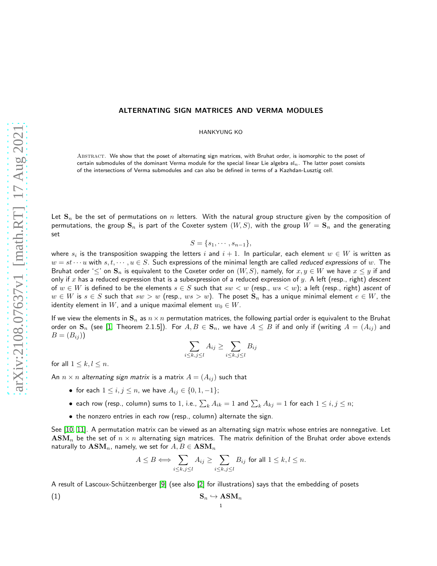# ALTERNATING SIGN MATRICES AND VERMA MODULES

HANKYUNG KO

ABSTRACT. We show that the poset of alternating sign matrices, with Bruhat order, is isomorphic to the poset of certain submodules of the dominant Verma module for the special linear Lie algebra  $sI_n$ . The latter poset consists of the intersections of Verma submodules and can also be defined in terms of a Kazhdan-Lusztig cell.

Let  $S_n$  be the set of permutations on n letters. With the natural group structure given by the composition of permutations, the group  $S_n$  is part of the Coxeter system  $(W, S)$ , with the group  $W = S_n$  and the generating set

$$
S = \{s_1, \cdots, s_{n-1}\},\
$$

where  $s_i$  is the transposition swapping the letters  $i$  and  $i+1.$  In particular, each element  $w\in W$  is written as  $w = st \cdots u$  with  $s, t, \cdots, u \in S$ . Such expressions of the minimal length are called reduced expressions of w. The Bruhat order ' $\leq'$  on  $\mathbf{S}_n$  is equivalent to the Coxeter order on  $(W, S)$ , namely, for  $x, y \in W$  we have  $x \leq y$  if and only if x has a reduced expression that is a subexpression of a reduced expression of y. A left (resp., right) descent of  $w \in W$  is defined to be the elements  $s \in S$  such that  $sw < w$  (resp.,  $ws < w$ ); a left (resp., right) ascent of  $w \in W$  is  $s \in S$  such that  $sw > w$  (resp.,  $ws > w$ ). The poset  $S_n$  has a unique minimal element  $e \in W$ , the identity element in W, and a unique maximal element  $w_0 \in W$ .

If we view the elements in  $\mathbf{S}_n$  as  $n \times n$  permutation matrices, the following partial order is equivalent to the Bruhat order on  $\mathbf{S}_n$  (see [\[1,](#page-8-0) Theorem 2.1.5]). For  $A, B \in \mathbf{S}_n$ , we have  $A \leq B$  if and only if (writing  $A = (A_{ij})$  and  $B = (B_{ij})$ 

$$
\sum_{i \leq k, j \leq l} A_{ij} \geq \sum_{i \leq k, j \leq l} B_{ij}
$$

for all  $1 \leq k, l \leq n$ .

An  $n \times n$  alternating sign matrix is a matrix  $A = (A_{ij})$  such that

- for each  $1 \le i, j \le n$ , we have  $A_{ij} \in \{0, 1, -1\}$ ;
- $\bullet\,$  each row (resp., column) sums to  $1$ , i.e.,  $\sum_k A_{ik} = 1$  and  $\sum_k A_{kj} = 1$  for each  $1 \leq i,j \leq n;$
- the nonzero entries in each row (resp., column) alternate the sign.

See [\[10,](#page-8-1) [11\]](#page-8-2). A permutation matrix can be viewed as an alternating sign matrix whose entries are nonnegative. Let  $\text{ASM}_n$  be the set of  $n \times n$  alternating sign matrices. The matrix definition of the Bruhat order above extends naturally to  $\text{ASM}_n$ , namely, we set for  $A, B \in \text{ASM}_n$ 

$$
A \leq B \Longleftrightarrow \sum_{i \leq k, j \leq l} A_{ij} \geq \sum_{i \leq k, j \leq l} B_{ij} \text{ for all } 1 \leq k, l \leq n.
$$

A result of Lascoux-Schützenberger [\[9\]](#page-8-3) (see also [\[2\]](#page-8-4) for illustrations) says that the embedding of posets

$$
\mathbf{S}_n \hookrightarrow \mathbf{ASM}_n
$$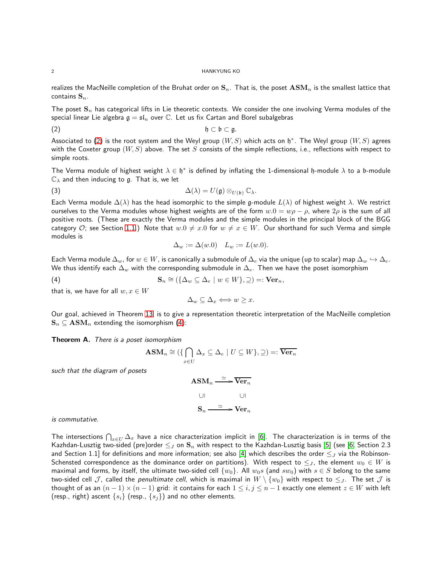#### 2 HANKYUNG KO

realizes the MacNeille completion of the Bruhat order on  $S_n$ . That is, the poset  $\text{ASM}_n$  is the smallest lattice that contains  $S_n$ .

The poset  $S_n$  has categorical lifts in Lie theoretic contexts. We consider the one involving Verma modules of the special linear Lie algebra  $\mathfrak{g} = \mathfrak{sl}_n$  over  $\mathbb C$ . Let us fix Cartan and Borel subalgebras

(2) h ⊂ b ⊂ g.

Associated to [\(2\)](#page-1-0) is the root system and the Weyl group  $(W,S)$  which acts on  $\mathfrak{h}^*$ . The Weyl group  $(W,S)$  agrees with the Coxeter group  $(W, S)$  above. The set S consists of the simple reflections, i.e., reflections with respect to simple roots.

The Verma module of highest weight  $\lambda \in \mathfrak{h}^*$  is defined by inflating the 1-dimensional  $\mathfrak{h}$ -module  $\lambda$  to a b-module  $\mathbb{C}_{\lambda}$  and then inducing to g. That is, we let

(3) 
$$
\Delta(\lambda) = U(\mathfrak{g}) \otimes_{U(\mathfrak{b})} \mathbb{C}_{\lambda}.
$$

Each Verma module  $\Delta(\lambda)$  has the head isomorphic to the simple g-module  $L(\lambda)$  of highest weight  $\lambda$ . We restrict ourselves to the Verma modules whose highest weights are of the form  $w.0 = w\rho - \rho$ , where  $2\rho$  is the sum of all positive roots. (These are exactly the Verma modules and the simple modules in the principal block of the BGG category O; see Section [1.1.](#page-3-0)) Note that  $w.0 \neq x.0$  for  $w \neq x \in W$ . Our shorthand for such Verma and simple modules is

<span id="page-1-2"></span><span id="page-1-0"></span>
$$
\Delta_w := \Delta(w.0) \quad L_w := L(w.0).
$$

Each Verma module  $\Delta_w$ , for  $w \in W$ , is canonically a submodule of  $\Delta_e$  via the unique (up to scalar) map  $\Delta_w \hookrightarrow \Delta_e$ . We thus identify each  $\Delta_w$  with the corresponding submodule in  $\Delta_e$ . Then we have the poset isomorphism

(4) 
$$
\mathbf{S}_n \cong (\{\Delta_w \subseteq \Delta_e \mid w \in W\}, \supseteq) =: \mathbf{Ver}_n,
$$

that is, we have for all  $w, x \in W$ 

<span id="page-1-1"></span>
$$
\Delta_w \subseteq \Delta_x \Longleftrightarrow w \geq x.
$$

Our goal, achieved in Theorem [13,](#page-8-5) is to give a representation theoretic interpretation of the MacNeille completion  $\mathbf{S}_n \subseteq \mathbf{ASM}_n$  extending the isomorphism [\(4\)](#page-1-1):

Theorem A. There is a poset isomorphism

$$
\mathbf{ASM}_n \cong (\{ \bigcap_{x \in U} \Delta_x \subseteq \Delta_e \mid U \subseteq W \}, \supseteq) =: \overline{\mathbf{Ver}_n}
$$

such that the diagram of posets

$$
\begin{aligned}\n\text{ASM}_n &\xrightarrow{\simeq} \overline{\text{Ver}_n} \\
\text{UL} &\xrightarrow{\qquad \qquad \text{UL} \\
\text{S}_n &\xrightarrow{\simeq} \text{Ver}_n\n\end{aligned}
$$

is commutative.

The intersections  $\bigcap_{x\in U}\Delta_x$  have a nice characterization implicit in [\[6\]](#page-8-6). The characterization is in terms of the Kazhdan-Lusztig two-sided (pre)order  $\leq_J$  on  $\mathbf{S}_n$  with respect to the Kazhdan-Lusztig basis [\[5\]](#page-8-7) (see [\[6,](#page-8-6) Section 2.3 and Section 1.1] for definitions and more information; see also [\[4\]](#page-8-8) which describes the order  $\leq_J$  via the Robinson-Schensted correspondence as the dominance order on partitions). With respect to  $\leq_J$ , the element  $w_0 \in W$  is maximal and forms, by itself, the ultimate two-sided cell  $\{w_0\}$ . All  $w_0s$  (and  $sw_0$ ) with  $s \in S$  belong to the same two-sided cell  $J$ , called the penultimate cell, which is maximal in  $W \setminus \{w_0\}$  with respect to  $\leq_J$ . The set  $J$  is thought of as an  $(n-1) \times (n-1)$  grid: it contains for each  $1 \le i, j \le n-1$  exactly one element  $z \in W$  with left (resp., right) ascent  $\{s_i\}$  (resp.,  $\{s_j\}$ ) and no other elements.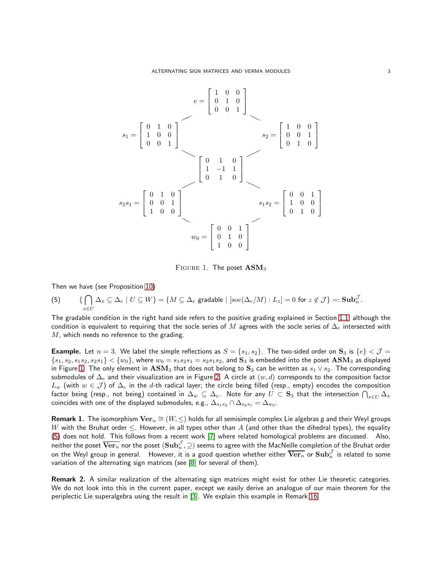<span id="page-2-0"></span>

FIGURE 1. The poset  $\text{ASM}_3$ 

Then we have (see Proposition [10\)](#page-6-0)

<span id="page-2-1"></span>(5) 
$$
\{ \bigcap_{x \in U} \Delta_x \subseteq \Delta_e \mid U \subseteq W \} = \{ M \subseteq \Delta_e \text{ gradable} \mid [\text{soc}(\Delta_e/M) : L_z] = 0 \text{ for } z \notin \mathcal{J} \} =: \textbf{Sub}_n^{\mathcal{J}}.
$$

The gradable condition in the right hand side refers to the positive grading explained in Section [1.1,](#page-3-0) although the condition is equivalent to requiring that the socle series of M agrees with the socle series of  $\Delta_e$  intersected with  $M$ , which needs no reference to the grading.

**Example.** Let  $n = 3$ . We label the simple reflections as  $S = \{s_1, s_2\}$ . The two-sided order on  $\mathbf{S}_3$  is  $\{e\} < \mathcal{J} =$  $\{s_1, s_2, s_1s_2, s_2s_1\} < \{w_0\}$ , where  $w_0 = s_1s_2s_1 = s_2s_1s_2$ , and  $\mathbf{S}_3$  is embedded into the poset  $\mathbf{ASM}_3$  as displayed in Figure [1.](#page-2-0) The only element in  $\mathbf{ASM}_3$  that does not belong to  $\mathbf{S}_3$  can be written as  $s_1 \vee s_2$ . The corresponding submodules of  $\Delta_e$  and their visualization are in Figure [2.](#page-3-1) A circle at  $(w, d)$  corresponds to the composition factor  $L_w$  (with  $w \in \mathcal{J}$ ) of  $\Delta_e$  in the d-th radical layer; the circle being filled (resp., empty) encodes the composition factor being (resp., not being) contained in  $\Delta_w\subseteq\Delta_e.$  Note for any  $U\subset{\bf S}_3$  that the intersection  $\bigcap_{x\in U}\Delta_x$ coincides with one of the displayed submodules, e.g.,  $\Delta_{s_1s_2}\cap\Delta_{s_2s_1}=\Delta_{w_0}.$ 

Remark 1. The isomorphism  $\mathrm{Ver}_n \cong (W, \leq)$  holds for all semisimple complex Lie algebras  $\mathfrak g$  and their Weyl groups W with the Bruhat order  $\leq$ . However, in all types other than A (and other than the dihedral types), the equality [\(5\)](#page-2-1) does not hold. This follows from a recent work [\[7\]](#page-8-9) where related homological problems are discussed. Also, neither the poset  $\overline{\bf Ver}_n$  nor the poset  $({\bf Sub}_n^{\cal J},\supseteq)$  seems to agree with the MacNeille completion of the Bruhat order on the Weyl group in general. However, it is a good question whether either  $\overline{\text{Ver}_n}$  or  $\text{Sub}_n^{\mathcal{J}}$  is related to some variation of the alternating sign matrices (see [\[8\]](#page-8-10) for several of them).

Remark 2. A similar realization of the alternating sign matrices might exist for other Lie theoretic categories. We do not look into this in the current paper, except we easily derive an analogue of our main theorem for the periplectic Lie superalgebra using the result in [\[3\]](#page-8-11). We explain this example in Remark [16.](#page-8-12)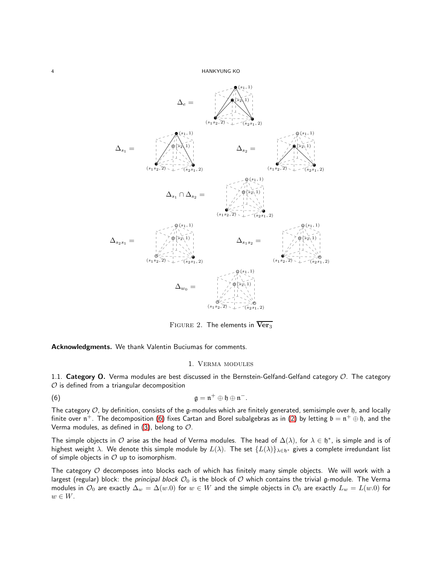<span id="page-3-1"></span>

FIGURE 2. The elements in  $Ver<sub>3</sub>$ 

Acknowledgments. We thank Valentin Buciumas for comments.

#### <span id="page-3-2"></span>1. Verma modules

<span id="page-3-0"></span>1.1. Category O. Verma modules are best discussed in the Bernstein-Gelfand-Gelfand category  $\mathcal{O}$ . The category  $O$  is defined from a triangular decomposition

(6) 
$$
\mathfrak{g} = \mathfrak{n}^+ \oplus \mathfrak{h} \oplus \mathfrak{n}^-.
$$

The category  $O$ , by definition, consists of the g-modules which are finitely generated, semisimple over  $\frak h$ , and locally finite over  $\frak n^+$ . The decomposition [\(6\)](#page-3-2) fixes Cartan and Borel subalgebras as in [\(2\)](#page-1-0) by letting  $\frak b=\frak n^+\oplus\frak h$ , and the Verma modules, as defined in  $(3)$ , belong to  $\mathcal{O}$ .

The simple objects in  $O$  arise as the head of Verma modules. The head of  $\Delta(\lambda)$ , for  $\lambda \in \mathfrak{h}^*$ , is simple and is of highest weight  $\lambda$ . We denote this simple module by  $L(\lambda)$ . The set  $\{L(\lambda)\}_{\lambda\in\mathfrak{h}^*}$  gives a complete irredundant list of simple objects in  $O$  up to isomorphism.

The category  $O$  decomposes into blocks each of which has finitely many simple objects. We will work with a largest (regular) block: the principal block  $O_0$  is the block of  $O$  which contains the trivial g-module. The Verma modules in  $\mathcal{O}_0$  are exactly  $\Delta_w = \Delta(w.0)$  for  $w \in W$  and the simple objects in  $\mathcal{O}_0$  are exactly  $L_w = L(w.0)$  for  $w \in W$ .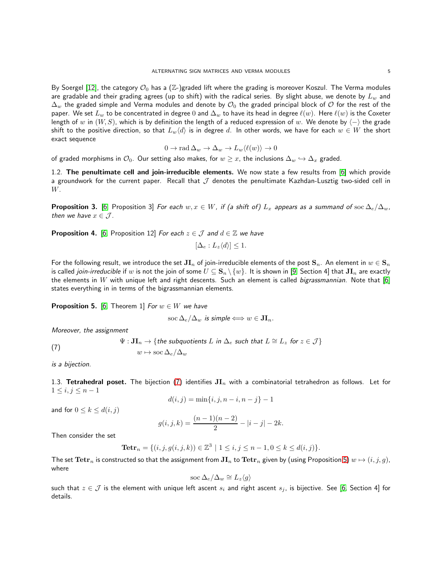By Soergel [\[12\]](#page-8-13), the category  $\mathcal{O}_0$  has a (Z-)graded lift where the grading is moreover Koszul. The Verma modules are gradable and their grading agrees (up to shift) with the radical series. By slight abuse, we denote by  $L_w$  and  $\Delta_w$  the graded simple and Verma modules and denote by  $\mathcal{O}_0$  the graded principal block of  $\mathcal O$  for the rest of the paper. We set  $L_w$  to be concentrated in degree 0 and  $\Delta_w$  to have its head in degree  $\ell(w)$ . Here  $\ell(w)$  is the Coxeter length of w in  $(W, S)$ , which is by definition the length of a reduced expression of w. We denote by  $\langle - \rangle$  the grade shift to the positive direction, so that  $L_w\langle d\rangle$  is in degree d. In other words, we have for each  $w\in W$  the short exact sequence

$$
0 \to \operatorname{rad}\Delta_w \to \Delta_w \to L_w \langle \ell(w) \rangle \to 0
$$

of graded morphisms in  $\mathcal{O}_0$ . Our setting also makes, for  $w \geq x$ , the inclusions  $\Delta_w \hookrightarrow \Delta_x$  graded.

1.2. The penultimate cell and join-irreducible elements. We now state a few results from [\[6\]](#page-8-6) which provide a groundwork for the current paper. Recall that  $J$  denotes the penultimate Kazhdan-Lusztig two-sided cell in W.

<span id="page-4-3"></span>**Proposition 3.** [\[6,](#page-8-6) Proposition 3] For each  $w, x \in W$ , if (a shift of)  $L_x$  appears as a summand of soc  $\Delta_e/\Delta_w$ , then we have  $x \in \mathcal{J}$ .

<span id="page-4-2"></span>**Proposition 4.** [\[6,](#page-8-6) Proposition 12] For each  $z \in \mathcal{J}$  and  $d \in \mathbb{Z}$  we have

 $[\Delta_e: L_z\langle d\rangle] \leq 1.$ 

For the following result, we introduce the set  $J_{1n}$  of join-irreducible elements of the post  $S_n$ . An element in  $w \in S_n$ is called *join-irreducible* if w is not the join of some  $U \subseteq S_n \setminus \{w\}$ . It is shown in [\[9,](#page-8-3) Section 4] that  $JI_n$  are exactly the elements in W with unique left and right descents. Such an element is called bigrassmannian. Note that  $[6]$ states everything in in terms of the bigrassmannian elements.

<span id="page-4-1"></span>**Proposition 5.** [\[6,](#page-8-6) Theorem 1] For  $w \in W$  we have

$$
\operatorname{soc}\Delta_e/\Delta_w \text{ is simple} \Longleftrightarrow w \in \mathbf{JI}_n.
$$

Moreover, the assignment

<span id="page-4-0"></span>(7) 
$$
\Psi: \mathbf{JI}_n \to \{the\ subquotients\ L\ in\ \Delta_e\ such\ that\ L \cong L_z\ for\ z \in \mathcal{J}\}
$$

$$
w \mapsto \operatorname{soc}\Delta_e/\Delta_w
$$

<span id="page-4-4"></span>is a bijection.

1.3. Tetrahedral poset. The bijection [\(7\)](#page-4-0) identifies  $JI_n$  with a combinatorial tetrahedron as follows. Let for  $1 \leq i, j \leq n-1$ 

$$
d(i, j) = \min\{i, j, n - i, n - j\} - 1
$$

and for  $0 \leq k \leq d(i, j)$ 

$$
g(i, j, k) = \frac{(n-1)(n-2)}{2} - |i - j| - 2k.
$$

Then consider the set

**Tetr**<sub>n</sub> = {
$$
(i, j, g(i, j, k)) \in \mathbb{Z}^3 | 1 \le i, j \le n - 1, 0 \le k \le d(i, j)
$$
 }.

The set  $\bm{\mathrm{Tetr}}_n$  is constructed so that the assignment from  $\bm{\mathrm{JI}}_n$  to  $\bm{\mathrm{Tetr}}_n$  given by (using Proposition [5\)](#page-4-1)  $w\mapsto (i,j,g),$ where

$$
\operatorname{soc}\Delta_e/\Delta_w\cong L_z\langle g\rangle
$$

such that  $z \in \mathcal{J}$  is the element with unique left ascent  $s_i$  and right ascent  $s_j$ , is bijective. See [\[6,](#page-8-6) Section 4] for details.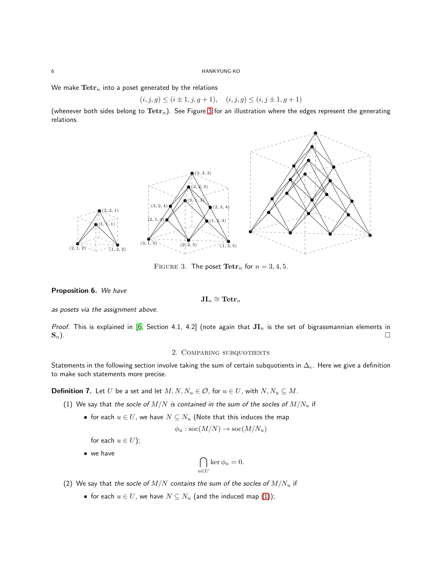We make  $\text{Tetr}_n$  into a poset generated by the relations

$$
(i, j, g) \le (i \pm 1, j, g + 1), \quad (i, j, g) \le (i, j \pm 1, g + 1)
$$

<span id="page-5-0"></span>(whenever both sides belong to  $Tetr_n$ ). See Figure [3](#page-5-0) for an illustration where the edges represent the generating relations.



FIGURE 3. The poset  $\text{Tetr}_n$  for  $n = 3, 4, 5$ .

# <span id="page-5-3"></span>Proposition 6. We have

$$
\mathbf{JI}_n\cong\mathbf{Tetr}_n
$$

as posets via the assignment above.

Proof. This is explained in [\[6,](#page-8-6) Section 4.1, 4.2] (note again that  $JI_n$  is the set of bigrassmannian elements in  $\mathbf{S}_n$ ).

### 2. Comparing subquotients

Statements in the following section involve taking the sum of certain subquotients in  $\Delta_e$ . Here we give a definition to make such statements more precise.

<span id="page-5-2"></span><span id="page-5-1"></span>**Definition 7.** Let U be a set and let  $M, N, N_u \in \mathcal{O}$ , for  $u \in U$ , with  $N, N_u \subseteq M$ .

- (1) We say that the socle of  $M/N$  is contained in the sum of the socles of  $M/N_u$  if
	- for each  $u \in U$ , we have  $N \subseteq N_u$  (Note that this induces the map

$$
\phi_u : \operatorname{soc}(M/N) \to \operatorname{soc}(M/N_u)
$$

for each  $u \in U$ ;

• we have

$$
\bigcap_{u \in U} \ker \phi_u = 0.
$$

- (2) We say that the socle of  $M/N$  contains the sum of the socles of  $M/N_u$  if
	- for each  $u \in U$ , we have  $N \subseteq N_u$  (and the induced map [\(1\)](#page-5-1));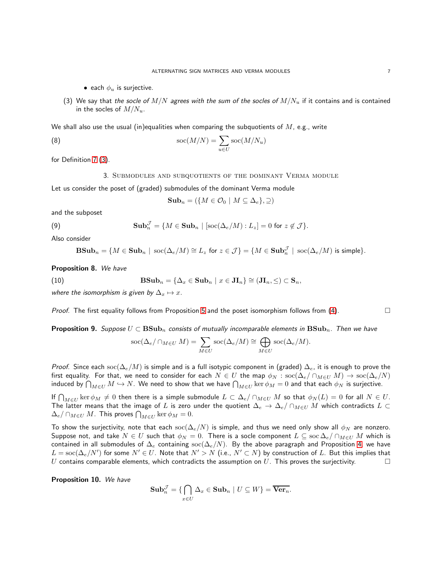• each  $\phi_u$  is surjective.

<span id="page-6-1"></span>(3) We say that the socle of  $M/N$  agrees with the sum of the socles of  $M/N_u$  if it contains and is contained in the socles of  $M/N_u$ .

We shall also use the usual (in)equalities when comparing the subquotients of  $M$ , e.g., write

(8) 
$$
\operatorname{soc}(M/N) = \sum_{u \in U} \operatorname{soc}(M/N_u)
$$

<span id="page-6-5"></span>for Definition [7](#page-5-2) [\(3\)](#page-6-1).

3. Submodules and subquotients of the dominant Verma module

Let us consider the poset of (graded) submodules of the dominant Verma module

$$
\mathbf{Sub}_n = (\{M \in \mathcal{O}_0 \mid M \subseteq \Delta_e\}, \supseteq)
$$

and the subposet

(9) 
$$
\mathbf{Sub}_{n}^{\mathcal{J}} = \{ M \in \mathbf{Sub}_{n} \mid [\text{soc}(\Delta_{e}/M): L_{z}] = 0 \text{ for } z \notin \mathcal{J} \}.
$$

Also consider

$$
\mathbf{BSub}_n = \{ M \in \mathbf{Sub}_n \mid \operatorname{soc}(\Delta_e/M) \cong L_z \text{ for } z \in \mathcal{J} \} = \{ M \in \mathbf{Sub}_n^{\mathcal{J}} \mid \operatorname{soc}(\Delta_e/M) \text{ is simple} \}.
$$

<span id="page-6-3"></span>Proposition 8. We have

(10) 
$$
\mathbf{BSub}_n = \{ \Delta_x \in \mathbf{Sub}_n \mid x \in \mathbf{JI}_n \} \cong (\mathbf{JI}_n, \leq) \subset \mathbf{S}_n,
$$

where the isomorphism is given by  $\Delta_x \mapsto x$ .

*Proof.* The first equality follows from Proposition [5](#page-4-1) and the poset isomorphism follows from  $(4)$ .

<span id="page-6-2"></span>**Proposition 9.** Suppose  $U \subset \mathbf{BSub}_n$  consists of mutually incomparable elements in  $\mathbf{BSub}_n$ . Then we have

<span id="page-6-4"></span>
$$
\operatorname{soc}(\Delta_e/\cap_{M\in U}M)=\sum_{M\in U}\operatorname{soc}(\Delta_e/M)\cong\bigoplus_{M\in U}\operatorname{soc}(\Delta_e/M).
$$

*Proof.* Since each soc( $\Delta_e/M$ ) is simple and is a full isotypic component in (graded)  $\Delta_e$ , it is enough to prove the first equality. For that, we need to consider for each  $N \in U$  the map  $\phi_N : \sec(\Delta_e/\cap_{M \in U} M) \to \sec(\Delta_e/N)$ induced by  $\bigcap_{M\in U}M\hookrightarrow N.$  We need to show that we have  $\bigcap_{M\in U}\ker\phi_M=0$  and that each  $\phi_N$  is surjective.

If  $\bigcap_{M\in U}\ker\phi_M\neq 0$  then there is a simple submodule  $L\subset \Delta_e/\cap_{M\in U}M$  so that  $\phi_N(L)=0$  for all  $N\in U.$ The latter means that the image of L is zero under the quotient  $\Delta_e \to \Delta_e/\cap_{M\in U} M$  which contradicts  $L \subset$  $\Delta_e/\cap_{M\in U}M$ . This proves  $\bigcap_{M\in U}\ker\phi_M=0$ .

To show the surjectivity, note that each soc( $\Delta_e/N$ ) is simple, and thus we need only show all  $\phi_N$  are nonzero. Suppose not, and take  $N \in U$  such that  $\phi_N = 0$ . There is a socle component  $L \subseteq \text{soc}\Delta_e/\cap_{M \in U} M$  which is contained in all submodules of  $\Delta_e$  containing soc( $\Delta_e/N$ ). By the above paragraph and Proposition [4,](#page-4-2) we have  $L=\mathrm{soc}(\Delta_e/N')$  for some  $N'\in U.$  Note that  $N'>N$  (i.e.,  $N'\subset N)$  by construction of  $L.$  But this implies that U contains comparable elements, which contradicts the assumption on U. This proves the surjectivity.  $\Box$ 

<span id="page-6-0"></span>Proposition 10. We have

$$
\mathbf{Sub}_{n}^{\mathcal{J}} = \{ \bigcap_{x \in U} \Delta_{x} \in \mathbf{Sub}_{n} \mid U \subseteq W \} = \overline{\mathbf{Ver}_{n}}.
$$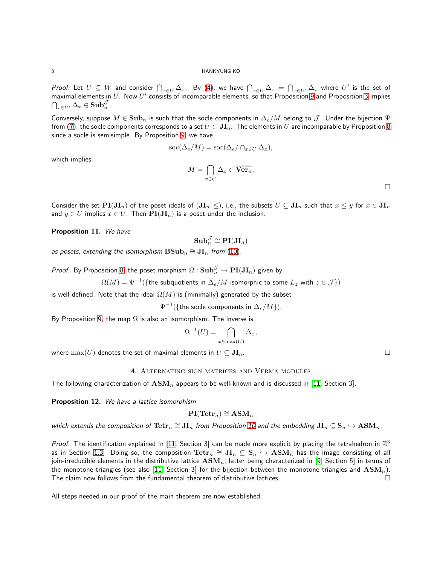8 HANKYUNG KO

*Proof.* Let  $U\subseteq W$  and consider  $\bigcap_{x\in U}\Delta_x$ . By [\(4\)](#page-1-1), we have  $\bigcap_{x\in U}\Delta_x=\bigcap_{x\in U'}\Delta_x$  where  $U'$  is the set of maximal elements in  $U$ . Now  $U'$  consists of incomparable elements, so that Proposition [9](#page-6-2) and Proposition [3](#page-4-3) implies  $\bigcap_{x\in U'}\Delta_x\in\mathbf{Sub}_n^{\mathcal{J}}.$ 

Conversely, suppose  $M \in \textbf{Sub}_n$  is such that the socle components in  $\Delta_e/M$  belong to  $\mathcal{J}$ . Under the bijection  $\Psi$ from [\(7\)](#page-4-0), the socle components corresponds to a set  $U \subset JI_n$ . The elements in U are incomparable by Proposition [8](#page-6-3) since a socle is semisimple. By Proposition [9,](#page-6-2) we have

$$
\operatorname{soc}(\Delta_e/M) = \operatorname{soc}(\Delta_e/\cap_{x \in U} \Delta_x),
$$

$$
M = \bigcap_{x \in U} \Delta_x \in \overline{\mathbf{Ver}_n}.
$$

which implies

Consider the set  $PI(JI_n)$  of the poset ideals of  $(JI_n, \leq)$ , i.e., the subsets  $U \subseteq JI_n$  such that  $x \leq y$  for  $x \in JI_n$ and  $y \in U$  implies  $x \in U$ . Then  $PI(JI_n)$  is a poset under the inclusion.

<span id="page-7-0"></span>Proposition 11. We have

$$
\mathbf{Sub}_n^{\mathcal{J}}\cong\mathbf{PI}(\mathbf{JI}_n)
$$

as posets, extending the isomorphism  $\textnormal{BSub}_n \cong \textnormal{JI}_n$  from  $(10).$  $(10).$ 

*Proof.* By Proposition [8,](#page-6-3) the poset morphism  $\Omega: {\bf Sub}_{n}^{\mathcal{J}} \to {\bf PI}({\bf J}{\bf I}_{n})$  given by

 $\Omega(M) = \Psi^{-1}(\{\text{the subquotients in }\Delta_e/M\text{ isomorphic to some }L_z\text{ with }z\in\mathcal{J}\})$ 

is well-defined. Note that the ideal  $\Omega(M)$  is (minimally) generated by the subset

 $\Psi^{-1}(\{\text{the sole components in }\Delta_e/M\}).$ 

By Proposition [9,](#page-6-2) the map  $\Omega$  is also an isomorphism. The inverse is

$$
\Omega^{-1}(U) = \bigcap_{x \in \max(U)} \Delta_x,
$$

where  $\max(U)$  denotes the set of maximal elements in  $U \subseteq \mathbf{JI}_n$ .

4. Alternating sign matrices and Verma modules

The following characterization of  $\text{ASM}_n$  appears to be well-known and is discussed in [\[11,](#page-8-2) Section 3].

<span id="page-7-1"></span>Proposition 12. We have a lattice isomorphism

$$
\mathbf{PI}(\mathbf{Tetr}_n)\cong\mathbf{ASM}_n
$$

which extends the composition of  $\text{Tetr}_n \cong \textbf{JI}_n$  from Proposition [10](#page-6-4) and the embedding  $\textbf{JI}_n\subseteq \textbf{S}_n\hookrightarrow \text{ASM}_n$ .

Proof. The identification explained in [\[11,](#page-8-2) Section 3] can be made more explicit by placing the tetrahedron in  $\mathbb{Z}^3$ as in Section [1.3.](#page-4-4) Doing so, the composition  $\mathrm{Tetr}_n \cong \mathbf{JI}_n \subseteq \mathbf{S}_n \hookrightarrow \mathbf{ASM}_n$  has the image consisting of all join-irreducible elements in the distributive lattice  $\text{ASM}_n$ , latter being characterized in [\[9,](#page-8-3) Section 5] in terms of the monotone triangles (see also [\[11,](#page-8-2) Section 3] for the bijection between the monotone triangles and  $\text{ASM}_n$ ). The claim now follows from the fundamental theorem of distributive lattices.  $\Box$ 

All steps needed in our proof of the main theorem are now established.

 $\Box$